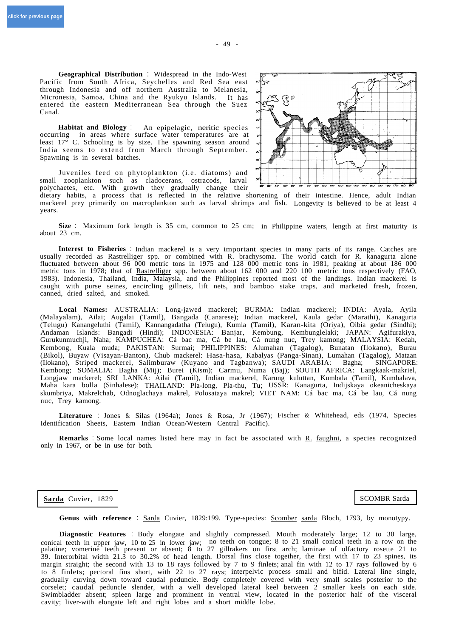**Geographical Distribution** : Widespread in the Indo-West Pacific from South Africa, Seychelles and Red Sea east through Indonesia and off northern Australia to Melanesia, Micronesia, Samoa, China and the Ryukyu Islands. It has entered the eastern Mediterranean Sea through the Suez Canal.

**Habitat and Biology** : An epipelagic, neritic species occurring in areas where surface water temperatures are at least 17° C. Schooling is by size. The spawning season around India seems to extend from March through September. Spawning is in several batches.

Juveniles feed on phytoplankton (i.e. diatoms) and small zooplankton such as cladocerans, ostracods, larval polychaetes, etc. With growth they gradually change their

dietary habits, a process that is reflected in the relative shortening of their intestine. Hence, adult Indian mackerel prey primarily on macroplankton such as larval shrimps and fish. Longevity is believed to be at least 4 years.

**Size** : Maximum fork length is 35 cm, common to 25 cm; in Philippine waters, length at first maturity is about 23 cm.

metric tons respectively (FAO, **Interest to Fisheries** : Indian mackerel is a very important species in many parts of its range. Catches are usually recorded as Rastrelliger spp. or combined with  $\overline{R}$ . brachysoma. The world catch for  $\overline{R}$ . kanagurta alone fluctuated between about 96 000 metric tons in 1975 and 128 000 metric tons in 1981, peaking at about 186 000 metric tons in 1978; that of Rastrelliger spp. between about 162 000 and 220 100 1983). Indonesia, Thailand, India, Malaysia, and the Philippines reported most of the landings. Indian mackerel is caught with purse seines, encircling gillnets, lift nets, and bamboo stake traps, and marketed fresh, frozen, canned, dried salted, and smoked.

**Local Names:** AUSTRALIA: Long-jawed mackerel; BURMA: Indian mackerel; INDIA: Ayala, Ayila (Malayalam), Ailai; Augalai (Tamil), Bangada (Canarese); Indian mackerel, Kaula gedar (Marathi), Kanagurta (Telugu) Kanangeluthi (Tamil), Kannangadatha (Telugu), Kumla (Tamil), Karan-kita (Oriya), Oibia gedar (Sindhi); Andaman Islands: Bangadi (Hindi); INDONESIA: Banjar, Kembung, Kembunglelaki; JAPAN: Agifurakiya, Gurukunmuchji, Naha; KAMPUCHEA: Cá bac ma, Cá be lau, Cá nung nuc, Trey kamong; MALAYSIA: Kedah, Kembong, Kuala muda; PAKISTAN: Surmai; PHILIPPINES: Alumahan (Tagalog), Bunatan (Ilokano), Burau (Bikol), Buyaw (Visayan-Banton), Chub mackerel: Hasa-hasa, Kabalyas (Panga-Sinan), Lumahan (Tagalog), Mataan (Ilokano), Striped mackerel, Salimburaw (Kuyano and Tagbanwa); SAUDI ARABIA: Kembong; SOMALIA: Bagha (Mij); Burei (Kism); Carmu, Numa (Baj); SOUTH AFRICA: Langkaak-makriel, Longjaw mackerel; SRI LANKA: Ailai (Tamil), Indian mackerel, Karung kuluttan, Kumbala (Tamil), Kumbalava, Maha kara bolla (Sinhalese); THAILAND: Pla-long, Pla-thu, Tu; USSR: Kanagurta, Indijskaya okeanicheskaya skumbriya, Makrelchab, Odnoglachaya makrel, Polosataya makrel; VIET NAM: Cá bac ma, Cá be lau, Cá nung nuc, Trey kamong.

**Literature** : Jones & Silas (1964a); Jones & Rosa, Jr (1967); Fischer & Whitehead, eds (1974, Species Identification Sheets, Eastern Indian Ocean/Western Central Pacific).

only in 1967, or be in use for both. **Remarks** : Some local names listed here may in fact be associated with R. faughni, a species recognized

**Sarda** Cuvier, 1829 | SCOMBR Sarda

**Genus with reference** : Sarda Cuvier, 1829:199. Type-species: Scomber sarda Bloch, 1793, by monotypy.

**Diagnostic Features** : Body elongate and slightly compressed. Mouth moderately large; 12 to 30 large, conical teeth in upper jaw, 10 to 25 in lower jaw; no teeth on tongue; 8 to 21 small conical teeth in a row on the palatine; vomerine teeth present or absent; 8 to 27 gillrakers on first arch; laminae of olfactory rosette 21 to 39. Interorbital width 21.3 to 30.2% of head length. Dorsal fins close together, the first with 17 to 23 spines, its margin straight; the second with 13 to 18 rays followed by 7 to 9 finlets; anal fin with 12 to 17 rays followed by 6 to 8 finlets; pectoral fins short, with 22 to 27 rays; interpelvic process small and bifid. Lateral line single, gradually curving down toward caudal peduncle. Body completely covered with very small scales posterior to the corselet; caudal peduncle slender, with a well developed lateral keel between 2 smaller keels on each side. Swimbladder absent; spleen large and prominent in ventral view, located in the posterior half of the visceral cavity; liver-with elongate left and right lobes and a short middle lobe.

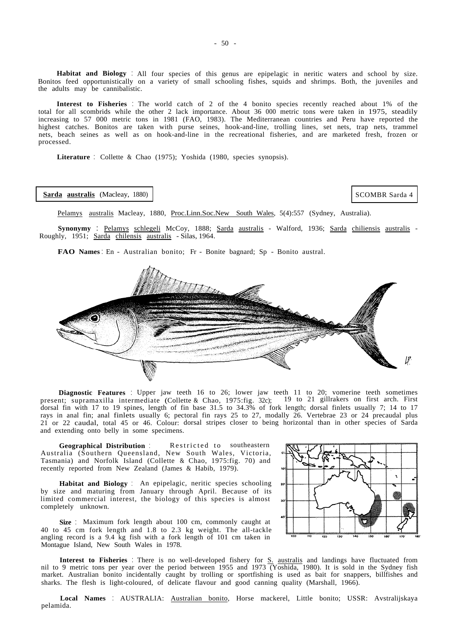**Habitat and Biology** : All four species of this genus are epipelagic in neritic waters and school by size. Bonitos feed opportunistically on a variety of small schooling fishes, squids and shrimps. Both, the juveniles and the adults may be cannibalistic.

**Interest to Fisheries** : The world catch of 2 of the 4 bonito species recently reached about 1% of the total for all scombrids while the other 2 lack importance. About 36 000 metric tons were taken in 1975, steadily increasing to 57 000 metric tons in 1981 (FAO, 1983). The Mediterranean countries and Peru have reported the highest catches. Bonitos are taken with purse seines, hook-and-line, trolling lines, set nets, trap nets, trammel nets, beach seines as well as on hook-and-line in the recreational fisheries, and are marketed fresh, frozen or processed.

**Literature** : Collette & Chao (1975); Yoshida (1980, species synopsis).

#### **Sarda australis** (Macleay, 1880)

SCOMBR Sarda 4

Pelamys australis Macleay, 1880, Proc.Linn.Soc.New South Wales, 5(4):557 (Sydney, Australia).

**Synonymy** : Pelamys schlegeli McCoy, 1888; Sarda australis - Walford, 1936; Sarda chiliensis australis - Roughly, 1951; Sarda chilensis australis - Silas, 1964.

**FAO Names** : En - Australian bonito; Fr - Bonite bagnard; Sp - Bonito austral.



**Diagnostic Features** : Upper jaw teeth 16 to 26; lower jaw teeth 11 to 20; vomerine teeth sometimes present; supramaxilla intermediate (Collette & Chao, 1975:fig. 32c); 19 to 21 gillrakers on first arch. First dorsal fin with 17 to 19 spines, length of fin base 31.5 to 34.3% of fork length; dorsal finlets usually 7; 14 to 17 rays in anal fin; anal finlets usually 6; pectoral fin rays 25 to 27, modally 26. Vertebrae 23 or 24 precaudal plus 21 or 22 caudal, total 45 or 46. Colour: dorsal stripes closer to being horizontal than in other species of Sarda and extending onto belly in some specimens.

**Geographical Distribution** : Restricted to southeastern Australia (Southern Queensland, New South Wales, Victoria, Tasmania) and Norfolk Island (Collette & Chao, 1975:fig. 70) and recently reported from New Zealand (James & Habib, 1979).

**Habitat and Biology** : An epipelagic, neritic species schooling by size and maturing from January through April. Because of its limited commercial interest, the biology of this species is almost completely unknown.

**Size** : Maximum fork length about 100 cm, commonly caught at 40 to 45 cm fork length and 1.8 to 2.3 kg weight. The all-tackle angling record is a 9.4 kg fish with a fork length of 101 cm taken in Montague Island, New South Wales in 1978.



**Interest to Fisheries** : There is no well-developed fishery for S. australis and landings have fluctuated from nil to 9 metric tons per year over the period between 1955 and 1973 (Yoshida, 1980). It is sold in the Sydney fish market. Australian bonito incidentally caught by trolling or sportfishing is used as bait for snappers, billfishes and sharks. The flesh is light-coloured, of delicate flavour and good canning quality (Marshall, 1966).

**Local Names** : AUSTRALIA: Australian bonito, Horse mackerel, Little bonito; USSR: Avstralijskaya pelamida.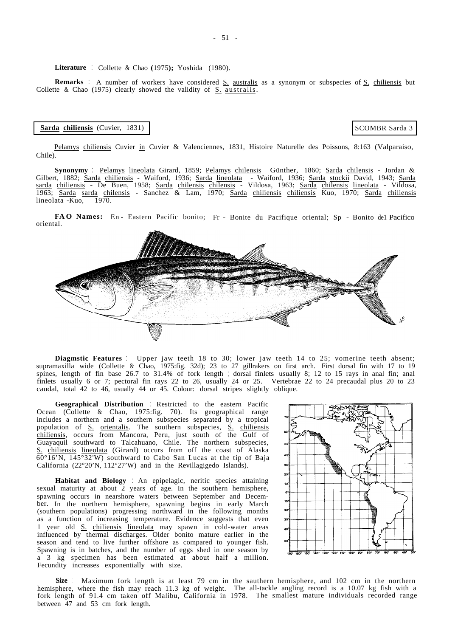**Literature** : Collette & Chao **(**1975**);** Yoshida (1980).

**Remarks** : A number of workers have considered S. australis as a synonym or subspecies of S. chiliensis but Collette & Chao  $(1975)$  clearly showed the validity of  $S$ . australis.

### **Sarda chiliensis** (Cuvier, 1831)

SCOMBR Sarda 3

Pelamys chiliensis Cuvier in Cuvier & Valenciennes, 1831, Histoire Naturelle des Poissons, 8:163 (Valparaiso, Chile).

Gilbert, 1882; <u>Sarda chiliensis</u> - Waiford, 1936; Sarda lineolata - Waiford, 1936; Sarda stockii David, 1943; Sarda **Synonymy** : Pelamys lineolata Girard, 1859; Pelamys chilensis Günther, 1860; Sarda chilensis - Jordan & sarda chiliensis - De Buen, 1958; Sarda chilensis chilensis - Vildosa, 1963; Sarda chilensis lineolata - Vildosa, 1963; Sarda sarda chilensis - Sanchez & Lam, 1970; Sarda chiliensis chiliensis Kuo, 1970; Sarda chiliensis  $lineolata$  -Kuo, 1970.

FAO Names: En - Eastern Pacific bonito; Fr - Bonite du Pacifique oriental; Sp - Bonito del Pacifico oriental.



**Diagmstic Features** : Upper jaw teeth 18 to 30; lower jaw teeth 14 to 25; vomerine teeth absent; supramaxilla wide (Collette & Chao, 1975:fig. 32d); 23 to 27 gillrakers on first arch. First dorsal fin with 17 to 19 spines, length of fin base 26.7 to 31.4% of fork length ; dorsal finlets usually 8; 12 to 15 rays in anal fin; anal finlets usually 6 or 7; pectoral fin rays 22 to 26, usually 24 or 25. Vertebrae 22 to 24 precaudal plus 20 to 23 caudal, total 42 to 46, usually 44 or 45. Colour: dorsal stripes slightly oblique.

 $\overline{60^{\circ}16'N}$ ,  $145\overline{°32'W}$  southward to Cabo San Lucas at the tip of Baja California (22°20'N, 112°27'W) and in the Revillagigedo Islands). **Geographical Distribution** : Restricted to the eastern Pacific population of S. orientalis. The southern subspecies, S. chiliensis Ocean (Collette & Chao, 1975:fig. 70). Its geographical range includes a northern and a southern subspecies separated by a tropical chiliensis, occurs from Mancora, Peru, just south of the Gulf of Guayaquil southward to Talcahuano, Chile. The northern subspecies, S. chiliensis lineolata (Girard) occurs from off the coast of Alaska

Fecundity increases exponentially with size. **Habitat and Biology** : An epipelagic, neritic species attaining sexual maturity at about 2 years of age. In the southern hemisphere, spawning occurs in nearshore waters between September and December. In the northern hemisphere, spawning begins in early March (southern populations) progressing northward in the following months as a function of increasing temperature. Evidence suggests that even 1 year old S. chiliensis lineolata may spawn in cold-water areas influenced by thermal discharges. Older bonito mature earlier in the season and tend to live further offshore as compared to younger fish. Spawning is in batches, and the number of eggs shed in one season by a 3 kg specimen has been estimated at about half a million.



**Size** : Maximum fork length is at least 79 cm in the sauthern hemisphere, and 102 cm in the northern hemisphere, where the fish may reach 11.3 kg of weight. The all-tackle angling record is a 10.07 kg fish with a fork length of 91.4 cm taken off Malibu, California in 1978. The smallest mature individuals recorded range between 47 and 53 cm fork length.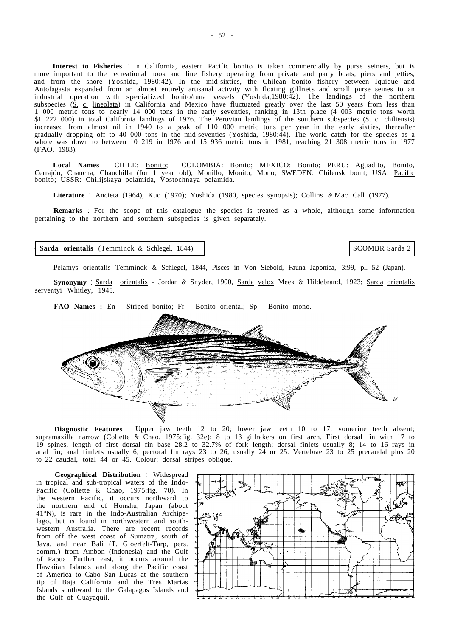**Interest to Fisheries** : In California, eastern Pacific bonito is taken commercially by purse seiners, but is more important to the recreational hook and line fishery operating from private and party boats, piers and jetties, and from the shore (Yoshida, 1980:42). In the mid-sixties, the Chilean bonito fishery between Iquique and Antofagasta expanded from an almost entirely artisanal activity with floating gillnets and small purse seines to an industrial operation with specialized bonito/tuna vessels (Yoshida,1980:42). The landings of the northern subspecies  $(\underline{S}, c, lineolata)$  in California and Mexico have fluctuated greatly over the last 50 years from less than 1 000 metric tons to nearly 14 000 tons in the early seventies, ranking in 13th place (4 003 metric tons worth \$1 222 000) in total California landings of 1976. The Peruvian landings of the southern subspecies (S. c. chiliensis) increased from almost nil in 1940 to a peak of 110 000 metric tons per year in the early sixties, thereafter gradually dropping off to 40 000 tons in the mid-seventies (Yoshida, 1980:44). The world catch for the species as a whole was down to between 10 219 in 1976 and 15 936 metric tons in 1981, reaching 21 308 metric tons in 1977 (FAO, 1983).

**Local Names** : CHILE: Bonito; COLOMBIA: Bonito; MEXICO: Bonito; PERU: Aguadito, Bonito, Cerrajón, Chaucha, Chauchilla (for 1 year old), Monillo, Monito, Mono; SWEDEN: Chilensk bonit; USA: <u>Pacific</u><br><u>bonito</u>; USSR: Chilijskaya pelamida, Vostochnaya pelamida.

**Literature** : Ancieta (1964); Kuo (1970); Yoshida (1980, species synopsis); Collins & Mac Call (1977).

**Remarks** : For the scope of this catalogue the species is treated as a whole, although some information pertaining to the northern and southern subspecies is given separately.

### **<sup>~</sup> Sarda orientalis** (Temminck & Schlegel, 1844)

SCOMBR Sarda 2

Pelamys orientalis Temminck & Schlegel, 1844, Pisces in Von Siebold, Fauna Japonica, 3:99, pl. 52 (Japan).

**Synonymy** : Sarda orientalis - Jordan & Snyder, 1900, Sarda velox Meek & Hildebrand, 1923; Sarda orientalis serventyi Whitley, 1945.

**FAO Names :** En - Striped bonito; Fr - Bonito oriental; Sp - Bonito mono.



**Diagnostic Features :** Upper jaw teeth 12 to 20; lower jaw teeth 10 to 17; vomerine teeth absent; supramaxilla narrow (Collette & Chao, 1975:fig. 32e); 8 to 13 gillrakers on first arch. First dorsal fin with 17 to 19 spines, length of first dorsal fin base 28.2 to 32.7% of fork length; dorsal finlets usually 8; 14 to 16 rays in anal fin; anal finlets usually 6; pectoral fin rays 23 to 26, usually 24 or 25. Vertebrae 23 to 25 precaudal plus 20 to 22 caudal, total 44 or 45. Colour: dorsal stripes oblique.

**Geographical Distribution** : Widespread in tropical and sub-tropical waters of the Indo-Pacific (Collette & Chao, 1975:fig. 70). In the western Pacific, it occurs northward to the northern end of Honshu, Japan (about 41°N), is rare in the Indo-Australian Archipelago, but is found in northwestern and southwestern Australia. There are recent records from off the west coast of Sumatra, south of Java, and near Bali (T. Gloerfelt-Tarp, pers. comm.) from Ambon (Indonesia) and the Gulf of Papua. Further east, it occurs around the Hawaiian Islands and along the Pacific coast of America to Cabo San Lucas at the southern tip of Baja California and the Tres Marias Islands southward to the Galapagos Islands and the Gulf of Guayaquil.

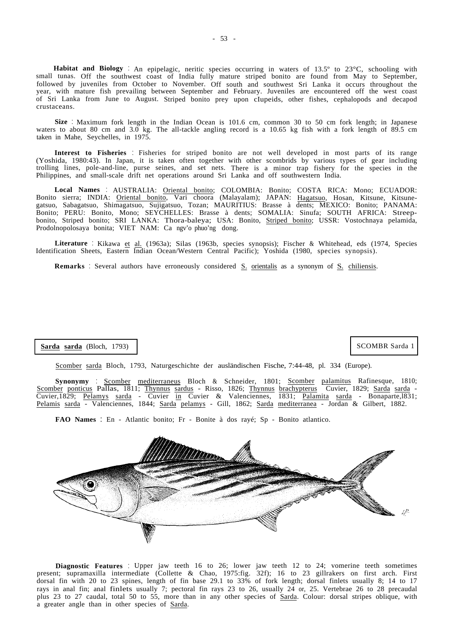**Habitat and Biology** : An epipelagic, neritic species occurring in waters of 13.5° to 23°C, schooling with small tunas. Off the southwest coast of India fully mature striped bonito are found from May to September, followed by juveniles from October to November. Off south and southwest Sri Lanka it occurs throughout the year, with mature fish prevailing between September and February. Juveniles are encountered off the west coast of Sri Lanka from June to August. Striped bonito prey upon cIupeids, other fishes, cephalopods and decapod crustaceans.

**Size** : Maximum fork length in the Indian Ocean is 101.6 cm, common 30 to 50 cm fork length; in Japanese waters to about 80 cm and 3.0 kg. The all-tackle angling record is a 10.65 kg fish with a fork length of 89.5 cm taken in Mahe, Seychelles, in 1975.

**Interest to Fisheries** : Fisheries for striped bonito are not well developed in most parts of its range (Yoshida, 1980:43). In Japan, it is taken often together with other scombrids by various types of gear including trolling lines, pole-and-line, purse seines, and set nets. There is a minor trap fishery for the species in the Philippines, and small-scale drift net operations around Sri Lanka and off southwestern India.

Local Names : AUSTRALIA: Oriental bonito; COLOMBIA: Bonito; COSTA RICA: Mono; ECUADOR: Bonito sierra; INDIA: Oriental bonito, Vari choora (Malayalam); JAPAN: Hagatsuo, Hosan, Kitsune, Kitsunegatsuo, Sabagatsuo, Shimagatsuo, Sujigatsuo, Tozan; MAURITIUS: Brasse à dents; MEXICO: Bonito; PANAMA: Bonito; PERU: Bonito, Mono; SEYCHELLES: Brasse à dents; SOMALIA: Sinufa; SOUTH AFRICA: Streepbonito, Striped bonito; SRI LANKA: Thora-baleya; USA: Bonito, Striped bonito; USSR: Vostochnaya pelamida, Prodolnopolosaya bonita; VIET NAM: Ca ngv'o phuo'ng dong.

**Literature** : Kikawa et al. (1963a); Silas (1963b, species synopsis); Fischer & Whitehead, eds (1974, Species Identification Sheets, Eastern Indian Ocean/Western Central Pacific); Yoshida (1980, species synopsis).

**Remarks** : Several authors have erroneously considered S. orientalis as a synonym of S. chiliensis.

# **Sarda sarda** (Bloch, 1793)

## SCOMBR Sarda 1

Scomber sarda Bloch, 1793, Naturgeschichte der ausländischen Fische, 7:44-48, pl. 334 (Europe).

**Synonymy** : Scomber mediterraneus Bloch & Schneider, 1801; Scomber palamitus Rafinesque, 1810; Scomber ponticus Pallas, 1811; Thynnus sardus - Risso, 1826; Thynnus brachypterus Cuvier, 1829; Sarda sarda - Cuvier,1829; Pelamys sarda - Cuvier in Cuvier & Valenciennes, 1831; Palamita sarda - Bonaparte,1831; Pelamis sarda - Valenciennes, 1844; Sarda pelamys - Gill, 1862; Sarda mediterranea - Jordan & Gilbert, 1882.

**FAO Names** : En - Atlantic bonito; Fr - Bonite à dos rayé; Sp - Bonito atlantico.



**Diagnostic Features** : Upper jaw teeth 16 to 26; lower jaw teeth 12 to 24; vomerine teeth sometimes present; supramaxilla intermediate (Collette & Chao, 1975:fig. 32f); 16 to 23 gillrakers on first arch. First dorsal fin with 20 to 23 spines, length of fin base 29.1 to 33% of fork length; dorsal finlets usually 8; 14 to 17 rays in anal fin; anal finlets usually 7; pectoral fin rays 23 to 26, usually 24 or, 25. Vertebrae 26 to 28 precaudal plus 23 to 27 caudal, total 50 to 55, more than in any other species of Sarda. Colour: dorsal stripes oblique, with a greater angle than in other species of Sarda.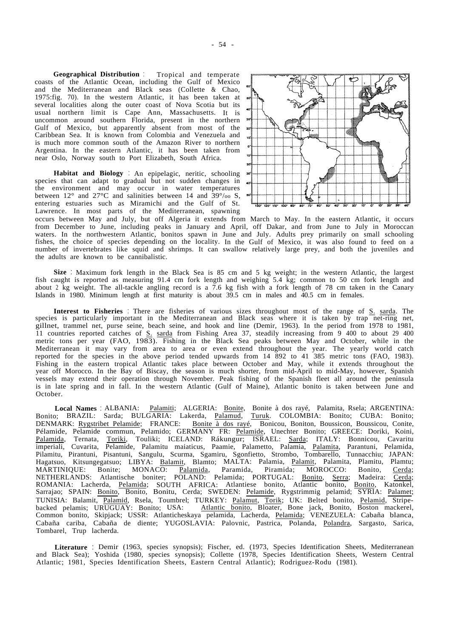**Geographical Distribution** : Tropical and temperate coasts of the Atlantic Ocean, including the Gulf of Mexico and the Mediterranean and Black seas (Collette & Chao, 1975:fig. 70). In the western Atlantic, it has been taken at several localities along the outer coast of Nova Scotia but its usual northern limit is Cape Ann, Massachusetts. It is uncommon around southern Florida, present in the northern <sup>30</sup> Gulf of Mexico, but apparently absent from most of the Caribbean Sea. It is known from Colombia and Venezuela and is much more common south of the Amazon River to northern Argentina. In the eastern Atlantic, it has been taken from near Oslo, Norway south to Port Elizabeth, South Africa.

**Habitat and Biology** : An epipelagic, neritic, schooling species that can adapt to gradual but not sudden changes in the environment and may occur in water temperatures between  $12^{\circ}$  and  $27^{\circ}$ C and salinities between 14 and  $39^{\circ}/\text{oo}$  S, entering estuaries such as Miramichi and the Gulf of St. Lawrence. In most parts of the Mediterranean, spawning



occurs between May and July, but off Algeria it extends from March to May. In the eastern Atlantic, it occurs from December to June, including peaks in January and April, off Dakar, and from June to July in Moroccan waters. In the northwestern Atlantic, bonitos spawn in June and July. Adults prey primarily on small schooling fishes, the choice of species depending on the locality. In the Gulf of Mexico, it was also found to feed on a number of invertebrates like squid and shrimps. It can swallow relatively large prey, and both the juveniles and the adults are known to be cannibalistic.

**Size** : Maximum fork length in the Black Sea is 85 cm and 5 kg weight; in the western Atlantic, the largest fish caught is reported as measuring 91.4 cm fork length and weighing 5.4 kg; common to 50 cm fork length and about 2 kg weight. The all-tackle angling record is a 7.6 kg fish with a fork length of 78 cm taken in the Canary Islands in 1980. Minimum length at first maturity is about 39.5 cm in males and 40.5 cm in females.

**Interest to Fisheries** : There are fisheries of various sizes throughout most of the range of S. sarda. The species is particularly important in the Mediterranean and Black seas where it is taken by trap net-ring net, gillnet, trammel net, purse seine, beach seine, and hook and line (Demir, 1963). In the period from 1978 to 1981, 11 countries reported catches of S. sarda from Fishing Area 37, steadily increasing from 9 400 to about 29 400 metric tons per year (FAO, 1983). Fishing in the Black Sea peaks between May and October, while in the Mediterranean it may vary from area to area or even extend throughout the year. The yearly world catch reported for the species in the above period tended upwards from 14 892 to 41 385 metric tons (FAO, 1983). Fishing in the eastern tropical Atlantic takes place between October and May, while it extends throughout the year off Morocco. In the Bay of Biscay, the season is much shorter, from mid-April to mid-May, however, Spanish vessels may extend their operation through November. Peak fishing of the Spanish fleet all around the peninsula is in late spring and in fall. In the western Atlantic (Gulf of Maine), Atlantic bonito is taken between June and October.

Tombarel, Trup lacherda. **Local Names** : ALBANIA: Palamiti; ALGERIA: Bonite, Bonite à dos rayé, Palamita, Rsela; ARGENTINA: Bonito; BRAZIL: Sarda; BULGARIA: Lakerda, Palamud, Turuk. COLOMBIA: Bonito; CUBA: Bonito; DENMARK: Rygstribet Pelamide; FRANCE: Bonite à dos rayé, Bonicou, Boniton, Boussicon, Boussicou, Conite, Pélamide, Pelamide commun, Pelamido; GERMANY FR: Pelamide, Unechter Bonito; GREECE: Doriki, Koini, Palamida, Ternata, Toriki, Touliki; ICELAND: Rákungur; ISRAEL: Sarda; ITALY: Bonnicou, Cavaritu imperiali, Cuvarita, Pelamide, Palamitu maiaticus, Paamie, Palametto, Palamia, Palamita, Parantuni, Pelamida, Pilamitu, Pirantuni, Pisantuni, Sangulu, Scurma, Sgamiru, Sgonfietto, Strombo, Tombarello, Tunnacchiu; JAPAN: Hagatsuo, Kitsungegatsuo; LIBYA: Balamit, Blamto; MALTA: Palamia, Palamit, Palamita, Plamitu, Plamtu; MARTINIQUE: Bonite; MONACO: Palamida, Paramida, Piramida; MOROCCO: Bonito, Cerda; NETHERLANDS: Atlantische boniter; POLAND: Pelamida; PORTUGAL: Bonito, Serra; Madeira: Cerda; ROMANIA: Lacherda, Pelamida; SOUTH AFRICA: Atlantiese bonito, Atlantic bonito, Bonito, Katonkel, Sarrajao; SPAIN: Bonito, Bonito, Bonitu, Cerda; SWEDEN: Pelamide, Rygstrimmig pelamid; SYRIA: Palamet; TUNISIA: Balamit, Palamid, Rsela, Toumbrel; TURKEY: Palamut, Torik; UK: Belted bonito, Pelamid, Stripebacked pelamis; URUGUAY: Bonito; USA: Atlantic bonito, Bloater, Bone jack, Bonito, Boston mackerel, Common bonito, Skipjack; USSR: Atlanticheskaya pelamida, Lacherda, Pelamida; VENEZUELA: Cabaña blanca, Cabaña cariba, Cabaña de diente; YUGOSLAVIA: Palovnic, Pastrica, Polanda, Polandra, Sargasto, Sarica,

**Literature** : Demir (1963, species synopsis); Fischer, ed. (1973, Species Identification Sheets, Mediterranean and Black Sea); Yoshida (1980, species synopsis); Collette (1978, Species Identification Sheets, Western Central Atlantic; 1981, Species Identification Sheets, Eastern Central Atlantic); Rodriguez-Rodu (1981).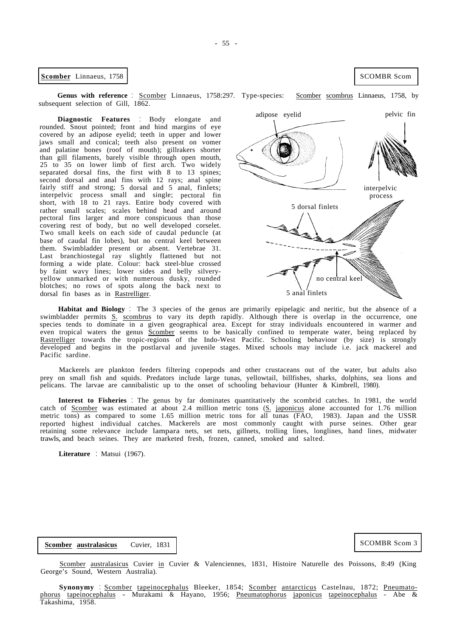**Example 1** SCOMBR Scom **1758** 

Genus with reference : Scomber Linnaeus, 1758:297. Type-species: Scomber scombrus Linnaeus, 1758, by subsequent selection of Gill, 1862.

**Diagnostic Features** : Body elongate and rounded. Snout pointed; front and hind margins of eye covered by an adipose eyelid; teeth in upper and lower jaws small and conical; teeth also present on vomer and palatine bones (roof of mouth); gillrakers shorter than gill filaments, barely visible through open mouth, 25 to 35 on lower limb of first arch. Two widely separated dorsal fins, the first with 8 to 13 spines; second dorsal and anal fins with 12 rays; anal spine fairly stiff and strong; 5 dorsal and 5 anal, finlets; interpelvic process small and single; pectoral fin short, with 18 to 21 rays. Entire body covered with rather small scales; scales behind head and around pectoral fins larger and more conspicuous than those covering rest of body, but no well developed corselet. Two small keels on each side of caudal peduncle (at base of caudal fin lobes), but no central keel between them. Swimbladder present or absent. Vertebrae 31. Last branchiostegal ray slightly flattened but not forming a wide plate. Colour: back steel-blue crossed by faint wavy lines; lower sides and belly silveryyellow unmarked or with numerous dusky, rounded blotches; no rows of spots along the back next to dorsal fin bases as in Rastrelliger.

interpelvic process 5 dorsal finlets no central keel 5 anal finlets

Pacific sardine. **Habitat and Biology** : The 3 species of the genus are primarily epipelagic and neritic, but the absence of a swimbladder permits S. scombrus to vary its depth rapidly. Although there is overlap in the occurrence, one species tends to dominate in a given geographical area. Except for stray individuals encountered in warmer and even tropical waters the genus Scomber seems to be basically confined to temperate water, being replaced by Rastrelliger towards the tropic-regions of the Indo-West Pacific. Schooling behaviour (by size) is strongly developed and begins in the postlarval and juvenile stages. Mixed schools may include i.e. jack mackerel and

Mackerels are plankton feeders filtering copepods and other crustaceans out of the water, but adults also prey on small fish and squids. Predators include large tunas, yellowtail, billfishes, sharks, dolphins, sea lions and pelicans. The larvae are cannibalistic up to the onset of schooling behaviour (Hunter & Kimbrell, 1980).

**Interest to Fisheries** : The genus by far dominates quantitatively the scombrid catches. In 1981, the world catch of Scomber was estimated at about 2.4 million metric tons (S. japonicus alone accounted for 1.76 million metric tons) as compared to some 1.65 million metric tons for all tunas (FAO, 1983). Japan and the USSR reported highest individual catches. Mackerels are most commonly caught with purse seines. Other gear retaining some relevance include lampara nets, set nets, gillnets, trolling lines, longlines, hand lines, midwater trawls, and beach seines. They are marketed fresh, frozen, canned, smoked and salted.

**Literature** : Matsui (1967).

**Scomber australasicus** Cuvier, 1831

Scomber australasicus Cuvier in Cuvier & Valenciennes, 1831, Histoire Naturelle des Poissons, 8:49 (King George's Sound, Western Australia).

**Synonymy** : Scomber tapeinocephalus Bleeker, 1854; Scomber antarcticus Castelnau, 1872; Pneumato-Takashima, 1958. phorus tapeinocephalus - Murakami & Hayano, 1956; Pneumatophorus japonicus tapeinocephalus - Abe &

SCOMBR Scom 3

adipose eyelid pelvic fin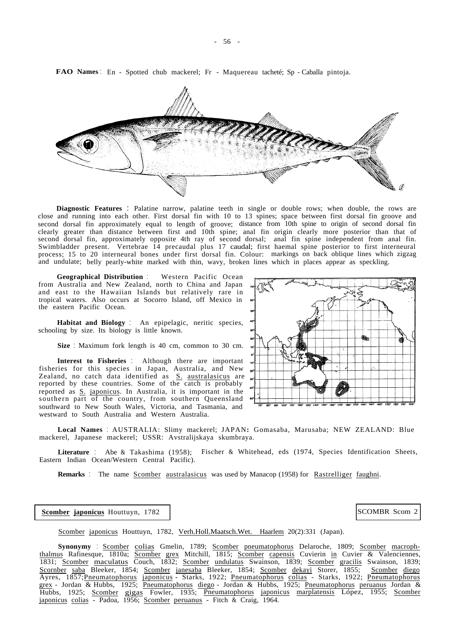

**FAO Names** : En - Spotted chub mackerel; Fr - Maquereau tacheté; Sp - Caballa pintoja.

**Diagnostic Features** : Palatine narrow, palatine teeth in single or double rows; when double, the rows are close and running into each other. First dorsal fin with 10 to 13 spines; space between first dorsal fin groove and second dorsal fin approximately equal to length of groove; distance from 10th spine to origin of second dorsal fin clearly greater than distance between first and 10th spine; anal fin origin clearly more posterior than that of second dorsal fin, approximately opposite 4th ray of second dorsal; anal fin spine independent from anal fin. Swimbladder present. Vertebrae 14 precaudal plus 17 caudal; first haemal spine posterior to first interneural process; 15 to 20 interneural bones under first dorsal fin. Colour: markings on back oblique lines which zigzag and undulate; belly pearly-white marked with thin, wavy, broken lines which in places appear as speckling.

**Geographical Distribution** : Western Pacific Ocean from Australia and New Zealand, north to China and Japan and east to the Hawaiian Islands but relatively rare in tropical waters. Also occurs at Socorro Island, off Mexico in the eastern Pacific Ocean.

**Habitat and Biology** : An epipelagic, neritic species, schooling by size. Its biology is little known.

**Size** : Maximum fork length is 40 cm, common to 30 cm.

**Interest to Fisheries** : Although there are important fisheries for this species in Japan, Australia, and New Zealand, no catch data identified as S. australasicus are reported by these countries. Some of the catch is probably reported as S. japonicus. In Australia, it is important in the southern part of the country, from southern Queensland southward to New South Wales, Victoria, and Tasmania, and westward to South Australia and Western Australia.



**Local Names** : AUSTRALIA: Slimy mackerel; JAPAN**:** Gomasaba, Marusaba; NEW ZEALAND: Blue mackerel, Japanese mackerel; USSR: Avstralijskaya skumbraya.

**Literature** : Abe & Takashima (1958); Fischer & Whitehead, eds (1974, Species Identification Sheets, Eastern Indian Ocean/Western Central Pacific).

**Remarks** : The name **Scomber australasicus** was used by Manacop (1958) for Rastrelliger faughni.

**Scomber japonicus** Houttuyn, 1782 | SCOMBR Scom 2

Scomber japonicus Houttuyn, 1782, Verh.Holl.Maatsch.Wet. Haarlem 20(2):331 (Japan).

Scornber saba Bleeker, 1854; Scomber janesaba Bleeker, 1854; Scomber dekayi Storer, 1855; Scomber diego Ayres, 1857;Pneumatophorus japonicus - Starks, 1922; Pneumatophorus colias - Starks, 1922; Pneumatophorus grex - Jordan & Hubbs, 1925; Pneumatophorus diego - Jordan & Hubbs, 1925; Pneumatophorus peruanus Jordan & japonicus colias - Padoa, 1956; Scomber peruanus - Fitch & Craig, 1964. **Synonymy** : Scomber colias Gmelin, 1789; Scomber pneumatophorus Delaroche, 1809; Scomber macrophthalmus Rafinesque, 1810a; Scomber grex Mitchill, 1815; Scomber capensis Cuvierin in Cuvier & Valenciennes, 1831; Scomber maculatus Couch, 1832; Scomber undulatus Swainson, 1839; Scomber gracilis Swainson, 1839; Hubbs, 1925; Scomber gigas Fowler, 1935; Pneumatophorus japonicus marplatensis López, 1955; Scomber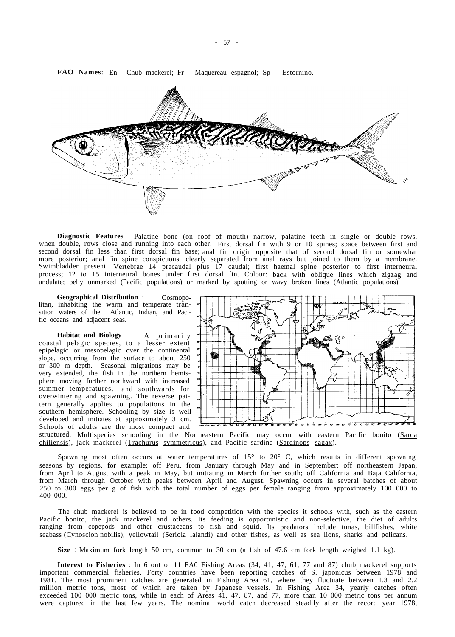**Diagnostic Features** : Palatine bone (on roof of mouth) narrow, palatine teeth in single or double rows, when double, rows close and running into each other. First dorsal fin with 9 or 10 spines; space between first and second dorsal fin less than first dorsal fin base; anal fin origin opposite that of second dorsal fin or somewhat more posterior; anal fin spine conspicuous, clearly separated from anal rays but joined to them by a membrane. Swimbladder present. Vertebrae 14 precaudal plus 17 caudal; first haemal spine posterior to first interneural process; 12 to 15 interneural bones under first dorsal fin. Colour: back with oblique lines which zigzag and undulate; belly unmarked (Pacific populations) or marked by spotting or wavy broken lines (Atlantic populations).

**Geographical Distribution** : Cosmopolitan, inhabiting the warm and temperate transition waters of the Atlantic, Indian, and Pacific oceans and adjacent seas.

**Habitat and Biology** : A primarily coastal pelagic species, to a lesser extent epipelagic or mesopelagic over the continental slope, occurring from the surface to about 250 or 300 m depth. Seasonal migrations may be very extended, the fish in the northern hemisphere moving further northward with increased summer temperatures, and southwards for overwintering and spawning. The reverse pattern generally applies to populations in the southern hemisphere. Schooling by size is well developed and initiates at approximately 3 cm. Schools of adults are the most compact and



structured. Multispecies schooling in the Northeastern Pacific may occur with eastern Pacific bonito (Sarda chiliensis), jack mackerel (Trachurus symmetricus), and Pacific sardine (Sardinops sagax).

Spawning most often occurs at water temperatures of 15° to 20° C, which results in different spawning seasons by regions, for example: off Peru, from January through May and in September; off northeastern Japan, from April to August with a peak in May, but initiating in March further south; off California and Baja California, from March through October with peaks between April and August. Spawning occurs in several batches of about 250 to 300 eggs per g of fish with the total number of eggs per female ranging from approximately 100 000 to 400 000.

The chub mackerel is believed to be in food competition with the species it schools with, such as the eastern Pacific bonito, the jack mackerel and others. Its feeding is opportunistic and non-selective, the diet of adults ranging from copepods and other crustaceans to fish and squid. Its predators include tunas, billfishes, white seabass (Cynoscion nobilis), yellowtail (Seriola lalandi) and other fishes, as well as sea lions, sharks and pelicans.

**Size** : Maximum fork length 50 cm, common to 30 cm (a fish of 47.6 cm fork length weighed 1.1 kg).

**Interest to Fisheries** : In 6 out of 11 FA0 Fishing Areas (34, 41, 47, 61, 77 and 87) chub mackerel supports were captured in the last few years. The nominal world catch decreased steadily after the record year 1978, important commercial fisheries. Forty countries have been reporting catches of S. japonicus between 1978 and 1981. The most prominent catches are generated in Fishing Area 61, where they fluctuate between 1.3 and 2.2 million metric tons, most of which are taken by Japanese vessels. In Fishing Area 34, yearly catches often exceeded 100 000 metric tons, while in each of Areas 41, 47, 87, and 77, more than 10 000 metric tons per annum

<span id="page-8-0"></span>**FAO Names**: En - Chub mackerel; Fr - Maquereau espagnol; Sp - Estornino.